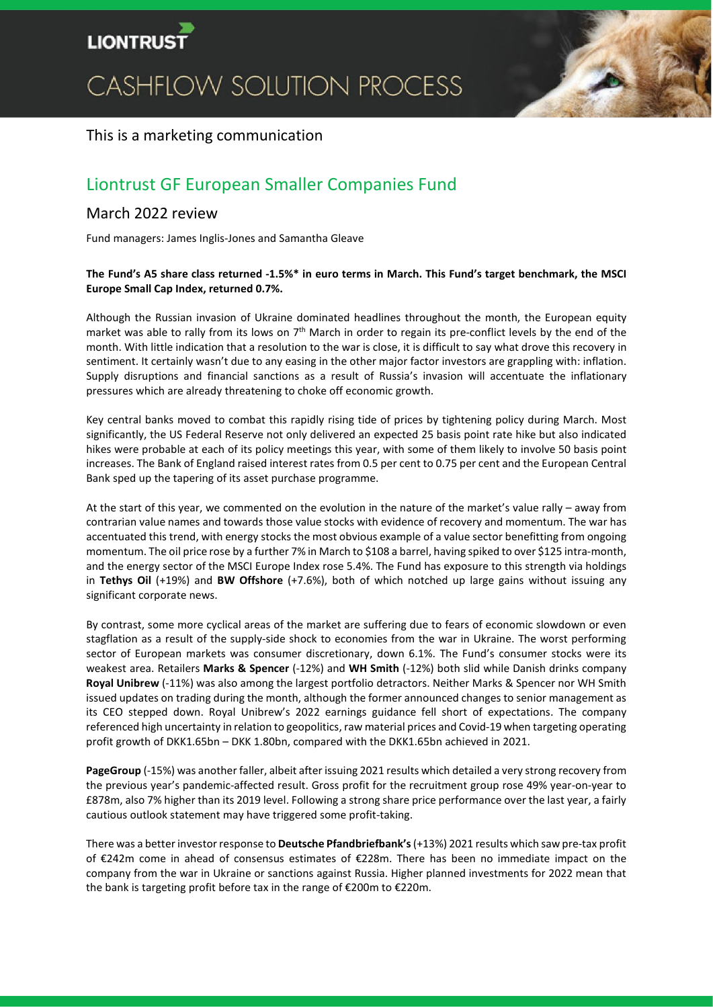

# CASHFLOW SOLUTION PROCESS



## This is a marketing communication

# Liontrust GF European Smaller Companies Fund

### March 2022 review

Fund managers: James Inglis-Jones and Samantha Gleave

#### **The Fund's A5 share class returned -1.5%\* in euro terms in March. This Fund's target benchmark, the MSCI Europe Small Cap Index, returned 0.7%.**

Although the Russian invasion of Ukraine dominated headlines throughout the month, the European equity market was able to rally from its lows on  $7<sup>th</sup>$  March in order to regain its pre-conflict levels by the end of the month. With little indication that a resolution to the war is close, it is difficult to say what drove this recovery in sentiment. It certainly wasn't due to any easing in the other major factor investors are grappling with: inflation. Supply disruptions and financial sanctions as a result of Russia's invasion will accentuate the inflationary pressures which are already threatening to choke off economic growth.

Key central banks moved to combat this rapidly rising tide of prices by tightening policy during March. Most significantly, the US Federal Reserve not only delivered an expected 25 basis point rate hike but also indicated hikes were probable at each of its policy meetings this year, with some of them likely to involve 50 basis point increases. The Bank of England raised interest rates from 0.5 per cent to 0.75 per cent and the European Central Bank sped up the tapering of its asset purchase programme.

At the start of this year, we commented on the evolution in the nature of the market's value rally – away from contrarian value names and towards those value stocks with evidence of recovery and momentum. The war has accentuated this trend, with energy stocks the most obvious example of a value sector benefitting from ongoing momentum. The oil price rose by a further 7% in March to \$108 a barrel, having spiked to over \$125 intra-month, and the energy sector of the MSCI Europe Index rose 5.4%. The Fund has exposure to this strength via holdings in **Tethys Oil** (+19%) and **BW Offshore** (+7.6%), both of which notched up large gains without issuing any significant corporate news.

By contrast, some more cyclical areas of the market are suffering due to fears of economic slowdown or even stagflation as a result of the supply-side shock to economies from the war in Ukraine. The worst performing sector of European markets was consumer discretionary, down 6.1%. The Fund's consumer stocks were its weakest area. Retailers **Marks & Spencer** (-12%) and **WH Smith** (-12%) both slid while Danish drinks company **Royal Unibrew** (-11%) was also among the largest portfolio detractors. Neither Marks & Spencer nor WH Smith issued updates on trading during the month, although the former announced changes to senior management as its CEO stepped down. Royal Unibrew's 2022 earnings guidance fell short of expectations. The company referenced high uncertainty in relation to geopolitics, raw material prices and Covid-19 when targeting operating profit growth of DKK1.65bn – DKK 1.80bn, compared with the DKK1.65bn achieved in 2021.

**PageGroup** (-15%) was another faller, albeit after issuing 2021 results which detailed a very strong recovery from the previous year's pandemic-affected result. Gross profit for the recruitment group rose 49% year-on-year to £878m, also 7% higher than its 2019 level. Following a strong share price performance over the last year, a fairly cautious outlook statement may have triggered some profit-taking.

There was a better investor response to **Deutsche Pfandbriefbank's**(+13%) 2021 results which saw pre-tax profit of €242m come in ahead of consensus estimates of €228m. There has been no immediate impact on the company from the war in Ukraine or sanctions against Russia. Higher planned investments for 2022 mean that the bank is targeting profit before tax in the range of €200m to €220m.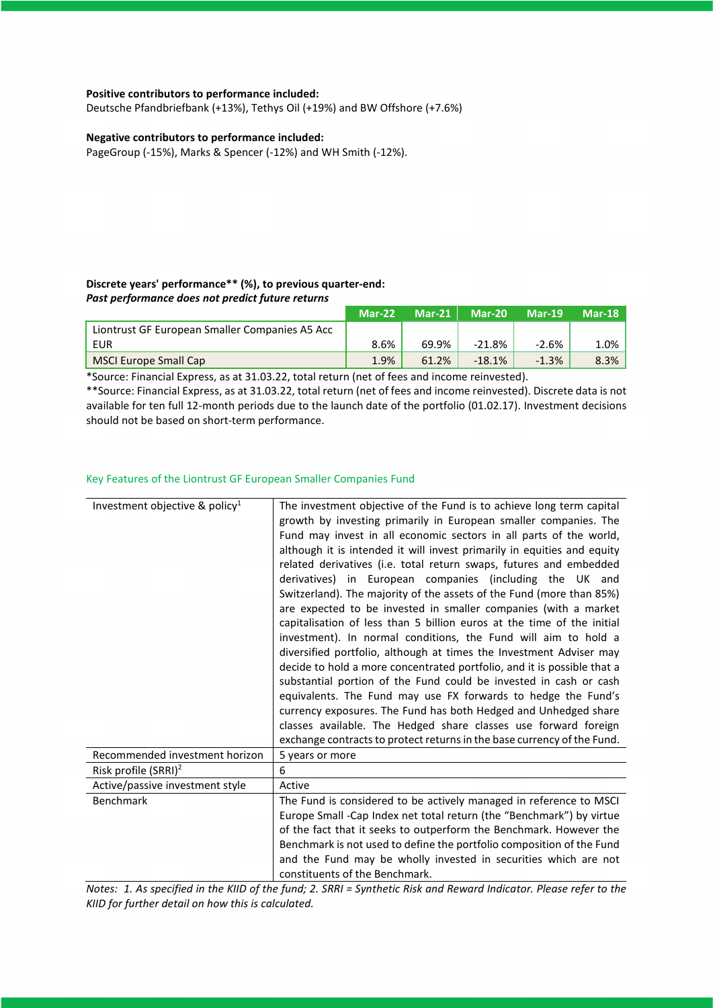#### **Positive contributors to performance included:**

Deutsche Pfandbriefbank (+13%), Tethys Oil (+19%) and BW Offshore (+7.6%)

#### **Negative contributors to performance included:**

PageGroup (-15%), Marks & Spencer (-12%) and WH Smith (-12%).

#### **Discrete years' performance\*\* (%), to previous quarter-end:** *Past performance does not predict future returns*

|                                                | Mar-22 | $Mar-21$ | $Mar-20$  | $Mar-19$ | <b>Mar-18</b> |
|------------------------------------------------|--------|----------|-----------|----------|---------------|
| Liontrust GF European Smaller Companies A5 Acc |        |          |           |          |               |
| EUR                                            | 8.6%   | 69.9%    | $-21.8\%$ | -2.6%    | 1.0%          |
| MSCI Europe Small Cap                          | 1.9%   | 61.2%    | $-18.1%$  | $-1.3%$  | 8.3%          |

\*Source: Financial Express, as at 31.03.22, total return (net of fees and income reinvested).

\*\*Source: Financial Express, as at 31.03.22, total return (net of fees and income reinvested). Discrete data is not available for ten full 12-month periods due to the launch date of the portfolio (01.02.17). Investment decisions should not be based on short-term performance.

#### Key Features of the Liontrust GF European Smaller Companies Fund

| The investment objective of the Fund is to achieve long term capital<br>growth by investing primarily in European smaller companies. The<br>Fund may invest in all economic sectors in all parts of the world,<br>although it is intended it will invest primarily in equities and equity<br>related derivatives (i.e. total return swaps, futures and embedded<br>derivatives) in European companies (including the UK and<br>Switzerland). The majority of the assets of the Fund (more than 85%) |
|-----------------------------------------------------------------------------------------------------------------------------------------------------------------------------------------------------------------------------------------------------------------------------------------------------------------------------------------------------------------------------------------------------------------------------------------------------------------------------------------------------|
| are expected to be invested in smaller companies (with a market<br>capitalisation of less than 5 billion euros at the time of the initial<br>investment). In normal conditions, the Fund will aim to hold a<br>diversified portfolio, although at times the Investment Adviser may                                                                                                                                                                                                                  |
| decide to hold a more concentrated portfolio, and it is possible that a<br>substantial portion of the Fund could be invested in cash or cash                                                                                                                                                                                                                                                                                                                                                        |
| equivalents. The Fund may use FX forwards to hedge the Fund's<br>currency exposures. The Fund has both Hedged and Unhedged share                                                                                                                                                                                                                                                                                                                                                                    |
| classes available. The Hedged share classes use forward foreign<br>exchange contracts to protect returns in the base currency of the Fund.                                                                                                                                                                                                                                                                                                                                                          |
| 5 years or more                                                                                                                                                                                                                                                                                                                                                                                                                                                                                     |
|                                                                                                                                                                                                                                                                                                                                                                                                                                                                                                     |
| Active                                                                                                                                                                                                                                                                                                                                                                                                                                                                                              |
| The Fund is considered to be actively managed in reference to MSCI<br>Europe Small -Cap Index net total return (the "Benchmark") by virtue                                                                                                                                                                                                                                                                                                                                                          |
| of the fact that it seeks to outperform the Benchmark. However the                                                                                                                                                                                                                                                                                                                                                                                                                                  |
| Benchmark is not used to define the portfolio composition of the Fund                                                                                                                                                                                                                                                                                                                                                                                                                               |
| and the Fund may be wholly invested in securities which are not<br>constituents of the Benchmark.                                                                                                                                                                                                                                                                                                                                                                                                   |
|                                                                                                                                                                                                                                                                                                                                                                                                                                                                                                     |

*Notes: 1. As specified in the KIID of the fund; 2. SRRI = Synthetic Risk and Reward Indicator. Please refer to the KIID for further detail on how this is calculated.*